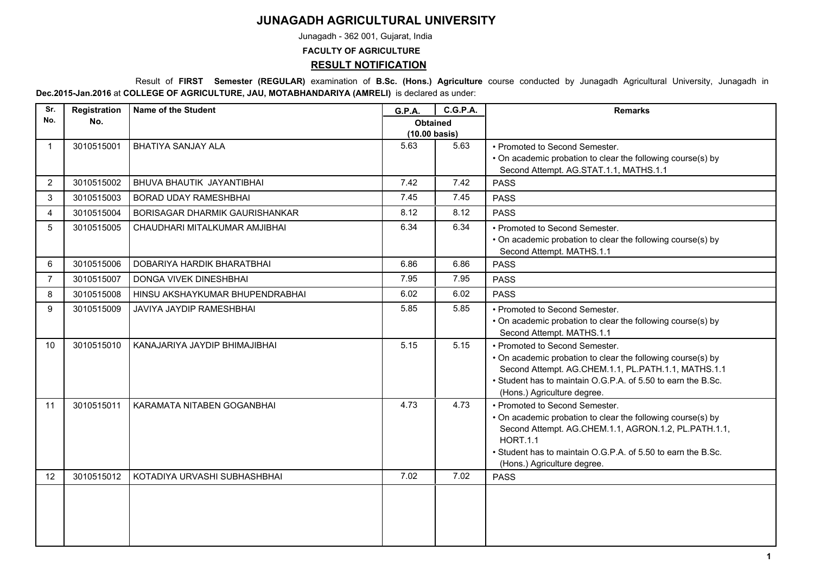## **JUNAGADH AGRICULTURAL UNIVERSITY**

Junagadh - 362 001, Gujarat, India

**FACULTY OF AGRICULTURE**

**RESULT NOTIFICATION**

 Result of **FIRST Semester (REGULAR)** examination of **B.Sc. (Hons.) Agriculture** course conducted by Junagadh Agricultural University, Junagadh in **Dec.2015-Jan.2016** at **COLLEGE OF AGRICULTURE, JAU, MOTABHANDARIYA (AMRELI)** is declared as under:

| Sr.            | Registration | <b>Name of the Student</b>      | G.P.A.                                     | <b>C.G.P.A.</b> | <b>Remarks</b>                                                                                                                                                                                                                                                          |
|----------------|--------------|---------------------------------|--------------------------------------------|-----------------|-------------------------------------------------------------------------------------------------------------------------------------------------------------------------------------------------------------------------------------------------------------------------|
| No.            | No.          |                                 | <b>Obtained</b><br>$(10.00 \text{ basis})$ |                 |                                                                                                                                                                                                                                                                         |
| -1             | 3010515001   | <b>BHATIYA SANJAY ALA</b>       | 5.63                                       | 5.63            | • Promoted to Second Semester.<br>• On academic probation to clear the following course(s) by<br>Second Attempt. AG.STAT.1.1, MATHS.1.1                                                                                                                                 |
| 2              | 3010515002   | BHUVA BHAUTIK JAYANTIBHAI       | 7.42                                       | 7.42            | <b>PASS</b>                                                                                                                                                                                                                                                             |
| 3              | 3010515003   | <b>BORAD UDAY RAMESHBHAI</b>    | 7.45                                       | 7.45            | <b>PASS</b>                                                                                                                                                                                                                                                             |
| 4              | 3010515004   | BORISAGAR DHARMIK GAURISHANKAR  | 8.12                                       | 8.12            | <b>PASS</b>                                                                                                                                                                                                                                                             |
| 5              | 3010515005   | CHAUDHARI MITALKUMAR AMJIBHAI   | 6.34                                       | 6.34            | • Promoted to Second Semester.<br>• On academic probation to clear the following course(s) by<br>Second Attempt. MATHS.1.1                                                                                                                                              |
| 6              | 3010515006   | DOBARIYA HARDIK BHARATBHAI      | 6.86                                       | 6.86            | <b>PASS</b>                                                                                                                                                                                                                                                             |
| $\overline{7}$ | 3010515007   | DONGA VIVEK DINESHBHAI          | 7.95                                       | 7.95            | <b>PASS</b>                                                                                                                                                                                                                                                             |
| 8              | 3010515008   | HINSU AKSHAYKUMAR BHUPENDRABHAI | 6.02                                       | 6.02            | <b>PASS</b>                                                                                                                                                                                                                                                             |
| 9              | 3010515009   | JAVIYA JAYDIP RAMESHBHAI        | 5.85                                       | 5.85            | • Promoted to Second Semester.<br>• On academic probation to clear the following course(s) by<br>Second Attempt. MATHS.1.1                                                                                                                                              |
| 10             | 3010515010   | KANAJARIYA JAYDIP BHIMAJIBHAI   | 5.15                                       | 5.15            | • Promoted to Second Semester.<br>• On academic probation to clear the following course(s) by<br>Second Attempt. AG.CHEM.1.1, PL.PATH.1.1, MATHS.1.1<br>• Student has to maintain O.G.P.A. of 5.50 to earn the B.Sc.<br>(Hons.) Agriculture degree.                     |
| 11             | 3010515011   | KARAMATA NITABEN GOGANBHAI      | 4.73                                       | 4.73            | • Promoted to Second Semester.<br>• On academic probation to clear the following course(s) by<br>Second Attempt. AG.CHEM.1.1, AGRON.1.2, PL.PATH.1.1,<br><b>HORT.1.1</b><br>• Student has to maintain O.G.P.A. of 5.50 to earn the B.Sc.<br>(Hons.) Agriculture degree. |
| 12             | 3010515012   | KOTADIYA URVASHI SUBHASHBHAI    | 7.02                                       | 7.02            | <b>PASS</b>                                                                                                                                                                                                                                                             |
|                |              |                                 |                                            |                 |                                                                                                                                                                                                                                                                         |